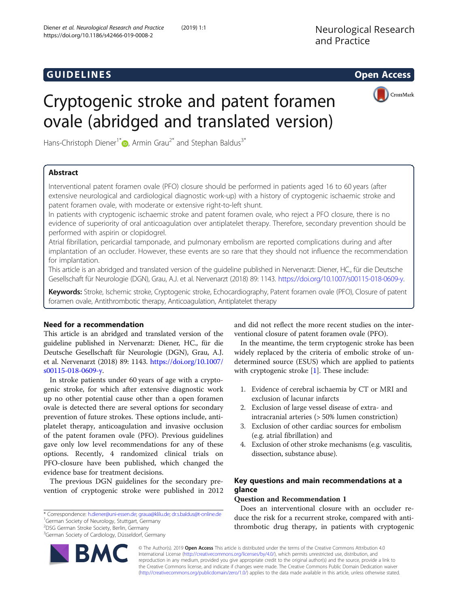# and GUIDELINES CONTROL CONTROL CONTROL CONTROL CONTROL CONTROL CONTROL CONTROL CONTROL CONTROL CONTROL CONTROL



# Cryptogenic stroke and patent foramen ovale (abridged and translated version)

Hans-Christoph Diener<sup>1[\\*](http://orcid.org/0000-0002-6556-8612)</sup>  $\bullet$ , Armin Grau<sup>2\*</sup> and Stephan Baldus<sup>3\*</sup>

# Abstract

Interventional patent foramen ovale (PFO) closure should be performed in patients aged 16 to 60 years (after extensive neurological and cardiological diagnostic work-up) with a history of cryptogenic ischaemic stroke and patent foramen ovale, with moderate or extensive right-to-left shunt.

In patients with cryptogenic ischaemic stroke and patent foramen ovale, who reject a PFO closure, there is no evidence of superiority of oral anticoagulation over antiplatelet therapy. Therefore, secondary prevention should be performed with aspirin or clopidogrel.

Atrial fibrillation, pericardial tamponade, and pulmonary embolism are reported complications during and after implantation of an occluder. However, these events are so rare that they should not influence the recommendation for implantation.

This article is an abridged and translated version of the guideline published in Nervenarzt: Diener, HC., für die Deutsche Gesellschaft für Neurologie (DGN), Grau, A.J. et al. Nervenarzt (2018) 89: 1143. [https://doi.org/10.1007/s00115-018-0609-y.](https://doi.org/10.1007/s00115-018-0609-y)

Keywords: Stroke, Ischemic stroke, Cryptogenic stroke, Echocardiography, Patent foramen ovale (PFO), Closure of patent foramen ovale, Antithrombotic therapy, Anticoagulation, Antiplatelet therapy

# Need for a recommendation

This article is an abridged and translated version of the guideline published in Nervenarzt: Diener, HC., für die Deutsche Gesellschaft für Neurologie (DGN), Grau, A.J. et al. Nervenarzt (2018) 89: 1143. [https://doi.org/10.1007/](https://doi.org/10.1007/s00115-018-0609-y) [s00115-018-0609-y](https://doi.org/10.1007/s00115-018-0609-y).

In stroke patients under 60 years of age with a cryptogenic stroke, for which after extensive diagnostic work up no other potential cause other than a open foramen ovale is detected there are several options for secondary prevention of future strokes. These options include, antiplatelet therapy, anticoagulation and invasive occlusion of the patent foramen ovale (PFO). Previous guidelines gave only low level recommendations for any of these options. Recently, 4 randomized clinical trials on PFO-closure have been published, which changed the evidence base for treatment decisions.

The previous DGN guidelines for the secondary prevention of cryptogenic stroke were published in 2012

\* Correspondence: [h.diener@uni-essen.de](mailto:h.diener@uni-essen.de); [graua@klilu.de](mailto:graua@klilu.de); [dr.s.baldus@t-online.de](mailto:dr.s.baldus@t-online.de) <sup>1</sup> <sup>1</sup>German Society of Neurology, Stuttgart, Germany

2 DSG German Stroke Society, Berlin, Germany

<sup>3</sup>German Society of Cardiology, Düsseldorf, Germany

and did not reflect the more recent studies on the interventional closure of patent foramen ovale (PFO).

In the meantime, the term cryptogenic stroke has been widely replaced by the criteria of embolic stroke of undetermined source (ESUS) which are applied to patients with cryptogenic stroke [\[1](#page-8-0)]. These include:

- 1. Evidence of cerebral ischaemia by CT or MRI and exclusion of lacunar infarcts
- 2. Exclusion of large vessel disease of extra- and intracranial arteries (> 50% lumen constriction)
- 3. Exclusion of other cardiac sources for embolism (e.g. atrial fibrillation) and
- 4. Exclusion of other stroke mechanisms (e.g. vasculitis, dissection, substance abuse).

# Key questions and main recommendations at a glance

# Question and Recommendation 1

Does an interventional closure with an occluder reduce the risk for a recurrent stroke, compared with antithrombotic drug therapy, in patients with cryptogenic

© The Author(s). 2019 **Open Access** This article is distributed under the terms of the Creative Commons Attribution 4.0 International License [\(http://creativecommons.org/licenses/by/4.0/](http://creativecommons.org/licenses/by/4.0/)), which permits unrestricted use, distribution, and reproduction in any medium, provided you give appropriate credit to the original author(s) and the source, provide a link to the Creative Commons license, and indicate if changes were made. The Creative Commons Public Domain Dedication waiver [\(http://creativecommons.org/publicdomain/zero/1.0/](http://creativecommons.org/publicdomain/zero/1.0/)) applies to the data made available in this article, unless otherwise stated.

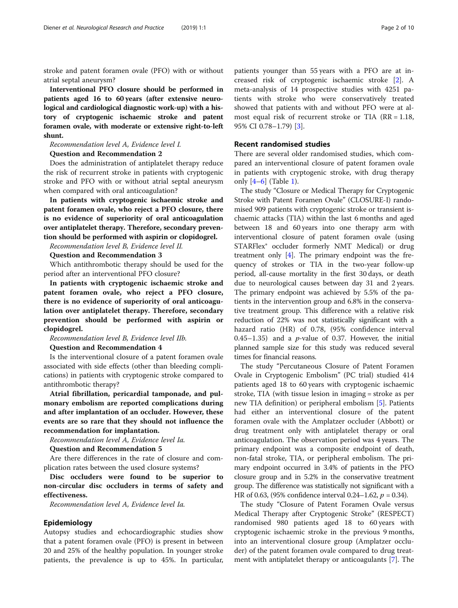stroke and patent foramen ovale (PFO) with or without atrial septal aneurysm?

Interventional PFO closure should be performed in patients aged 16 to 60 years (after extensive neurological and cardiological diagnostic work-up) with a history of cryptogenic ischaemic stroke and patent foramen ovale, with moderate or extensive right-to-left shunt.

Recommendation level A, Evidence level I.

#### Question and Recommendation 2

Does the administration of antiplatelet therapy reduce the risk of recurrent stroke in patients with cryptogenic stroke and PFO with or without atrial septal aneurysm when compared with oral anticoagulation?

In patients with cryptogenic ischaemic stroke and patent foramen ovale, who reject a PFO closure, there is no evidence of superiority of oral anticoagulation over antiplatelet therapy. Therefore, secondary prevention should be performed with aspirin or clopidogrel.

Recommendation level B, Evidence level II.

Question and Recommendation 3

Which antithrombotic therapy should be used for the period after an interventional PFO closure?

In patients with cryptogenic ischaemic stroke and patent foramen ovale, who reject a PFO closure, there is no evidence of superiority of oral anticoagulation over antiplatelet therapy. Therefore, secondary prevention should be performed with aspirin or clopidogrel.

Recommendation level B, Evidence level IIb.

#### Question and Recommendation 4

Is the interventional closure of a patent foramen ovale associated with side effects (other than bleeding complications) in patients with cryptogenic stroke compared to antithrombotic therapy?

Atrial fibrillation, pericardial tamponade, and pulmonary embolism are reported complications during and after implantation of an occluder. However, these events are so rare that they should not influence the recommendation for implantation.

Recommendation level A, Evidence level Ia.

Question and Recommendation 5

Are there differences in the rate of closure and complication rates between the used closure systems?

Disc occluders were found to be superior to non-circular disc occluders in terms of safety and effectiveness.

Recommendation level A, Evidence level Ia.

#### Epidemiology

Autopsy studies and echocardiographic studies show that a patent foramen ovale (PFO) is present in between 20 and 25% of the healthy population. In younger stroke patients, the prevalence is up to 45%. In particular, patients younger than 55 years with a PFO are at increased risk of cryptogenic ischaemic stroke [[2](#page-8-0)]. A meta-analysis of 14 prospective studies with 4251 patients with stroke who were conservatively treated showed that patients with and without PFO were at almost equal risk of recurrent stroke or TIA  $(RR = 1.18,$ 95% CI 0.78–1.79) [\[3](#page-8-0)].

#### Recent randomised studies

There are several older randomised studies, which compared an interventional closure of patent foramen ovale in patients with cryptogenic stroke, with drug therapy only  $[4-6]$  $[4-6]$  $[4-6]$  $[4-6]$  (Table [1](#page-2-0)).

The study "Closure or Medical Therapy for Cryptogenic Stroke with Patent Foramen Ovale" (CLOSURE-I) randomised 909 patients with cryptogenic stroke or transient ischaemic attacks (TIA) within the last 6 months and aged between 18 and 60 years into one therapy arm with interventional closure of patent foramen ovale (using STARFlex® occluder formerly NMT Medical) or drug treatment only [\[4\]](#page-8-0). The primary endpoint was the frequency of strokes or TIA in the two-year follow-up period, all-cause mortality in the first 30 days, or death due to neurological causes between day 31 and 2 years. The primary endpoint was achieved by 5.5% of the patients in the intervention group and 6.8% in the conservative treatment group. This difference with a relative risk reduction of 22% was not statistically significant with a hazard ratio (HR) of 0.78, (95% confidence interval 0.45–1.35) and a  $p$ -value of 0.37. However, the initial planned sample size for this study was reduced several times for financial reasons.

The study "Percutaneous Closure of Patent Foramen Ovale in Cryptogenic Embolism" (PC trial) studied 414 patients aged 18 to 60 years with cryptogenic ischaemic stroke, TIA (with tissue lesion in imaging = stroke as per new TIA definition) or peripheral embolism [[5\]](#page-8-0). Patients had either an interventional closure of the patent foramen ovale with the Amplatzer occluder (Abbott) or drug treatment only with antiplatelet therapy or oral anticoagulation. The observation period was 4 years. The primary endpoint was a composite endpoint of death, non-fatal stroke, TIA, or peripheral embolism. The primary endpoint occurred in 3.4% of patients in the PFO closure group and in 5.2% in the conservative treatment group. The difference was statistically not significant with a HR of 0.63, (95% confidence interval 0.24–1.62,  $p = 0.34$ ).

The study "Closure of Patent Foramen Ovale versus Medical Therapy after Cryptogenic Stroke" (RESPECT) randomised 980 patients aged 18 to 60 years with cryptogenic ischaemic stroke in the previous 9 months, into an interventional closure group (Amplatzer occluder) of the patent foramen ovale compared to drug treatment with antiplatelet therapy or anticoagulants [\[7](#page-8-0)]. The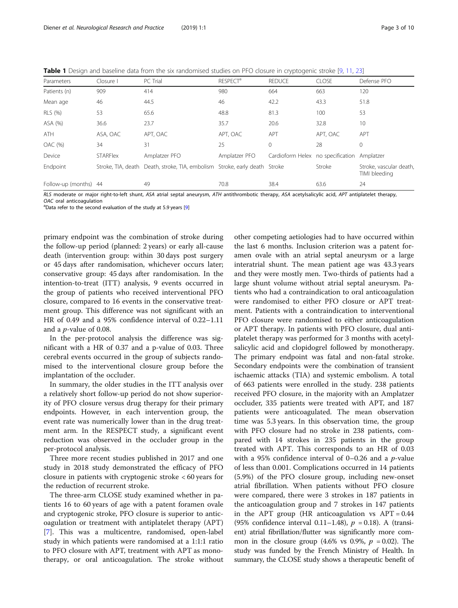<span id="page-2-0"></span>Table 1 Design and baseline data from the six randomised studies on PFO closure in cryptogenic stroke [\[9,](#page-8-0) [11,](#page-9-0) [23](#page-9-0)]

| Parameters            | Closure I       | PC Trial                                                                   | <b>RESPECT<sup>a</sup></b> | <b>REDUCE</b>                               | <b>CLOSE</b> | Defense PFO                              |
|-----------------------|-----------------|----------------------------------------------------------------------------|----------------------------|---------------------------------------------|--------------|------------------------------------------|
| Patients (n)          | 909             | 414                                                                        | 980                        | 664                                         | 663          | 120                                      |
| Mean age              | 46              | 44.5                                                                       | 46                         | 42.2                                        | 43.3         | 51.8                                     |
| RLS (%)               | 53              | 65.6                                                                       | 48.8                       | 81.3                                        | 100          | 53                                       |
| ASA (%)               | 36.6            | 23.7                                                                       | 35.7                       | 20.6                                        | 32.8         | 10                                       |
| ATH                   | ASA, OAC        | APT, OAC                                                                   | APT, OAC                   | APT                                         | APT, OAC     | APT                                      |
| OAC (%)               | 34              | 31                                                                         | 25                         | $\mathbf{0}$                                | 28           | $\mathbf{0}$                             |
| Device                | <b>STARFlex</b> | Amplatzer PFO                                                              | Amplatzer PFO              | Cardioform Helex no specification Amplatzer |              |                                          |
| Endpoint              |                 | Stroke, TIA, death Death, stroke, TIA, embolism Stroke, early death Stroke |                            |                                             | Stroke       | Stroke, vascular death,<br>TIMI bleeding |
| Follow-up (months) 44 |                 | 49                                                                         | 70.8                       | 38.4                                        | 63.6         | 24                                       |

RLS moderate or major right-to-left shunt, ASA atrial septal aneurysm, ATH antithrombotic therapy, ASA acetylsalicylic acid, APT antiplatelet therapy, OAC oral anticoagulation

<sup>a</sup>Data refer to the second evaluation of the study at 5.9 years [[9\]](#page-8-0)

primary endpoint was the combination of stroke during the follow-up period (planned: 2 years) or early all-cause death (intervention group: within 30 days post surgery or 45 days after randomisation, whichever occurs later; conservative group: 45 days after randomisation. In the intention-to-treat (ITT) analysis, 9 events occurred in the group of patients who received interventional PFO closure, compared to 16 events in the conservative treatment group. This difference was not significant with an HR of 0.49 and a 95% confidence interval of 0.22–1.11 and a p-value of 0.08.

In the per-protocol analysis the difference was significant with a HR of 0.37 and a p-value of 0.03. Three cerebral events occurred in the group of subjects randomised to the interventional closure group before the implantation of the occluder.

In summary, the older studies in the ITT analysis over a relatively short follow-up period do not show superiority of PFO closure versus drug therapy for their primary endpoints. However, in each intervention group, the event rate was numerically lower than in the drug treatment arm. In the RESPECT study, a significant event reduction was observed in the occluder group in the per-protocol analysis.

Three more recent studies published in 2017 and one study in 2018 study demonstrated the efficacy of PFO closure in patients with cryptogenic stroke < 60 years for the reduction of recurrent stroke.

The three-arm CLOSE study examined whether in patients 16 to 60 years of age with a patent foramen ovale and cryptogenic stroke, PFO closure is superior to anticoagulation or treatment with antiplatelet therapy (APT) [[7\]](#page-8-0). This was a multicentre, randomised, open-label study in which patients were randomised at a 1:1:1 ratio to PFO closure with APT, treatment with APT as monotherapy, or oral anticoagulation. The stroke without

other competing aetiologies had to have occurred within the last 6 months. Inclusion criterion was a patent foramen ovale with an atrial septal aneurysm or a large interatrial shunt. The mean patient age was 43.3 years and they were mostly men. Two-thirds of patients had a large shunt volume without atrial septal aneurysm. Patients who had a contraindication to oral anticoagulation were randomised to either PFO closure or APT treatment. Patients with a contraindication to interventional PFO closure were randomised to either anticoagulation or APT therapy. In patients with PFO closure, dual antiplatelet therapy was performed for 3 months with acetylsalicylic acid and clopidogrel followed by monotherapy. The primary endpoint was fatal and non-fatal stroke. Secondary endpoints were the combination of transient ischaemic attacks (TIA) and systemic embolism. A total of 663 patients were enrolled in the study. 238 patients received PFO closure, in the majority with an Amplatzer occluder, 335 patients were treated with APT, and 187 patients were anticoagulated. The mean observation time was 5.3 years. In this observation time, the group with PFO closure had no stroke in 238 patients, compared with 14 strokes in 235 patients in the group treated with APT. This corresponds to an HR of 0.03 with a 95% confidence interval of 0–0.26 and a  $p$ -value of less than 0.001. Complications occurred in 14 patients (5.9%) of the PFO closure group, including new-onset atrial fibrillation. When patients without PFO closure were compared, there were 3 strokes in 187 patients in the anticoagulation group and 7 strokes in 147 patients in the APT group (HR anticoagulation vs  $APT = 0.44$ (95% confidence interval 0.11–1.48),  $p = 0.18$ ). A (transient) atrial fibrillation/flutter was significantly more common in the closure group (4.6% vs 0.9%,  $p = 0.02$ ). The study was funded by the French Ministry of Health. In summary, the CLOSE study shows a therapeutic benefit of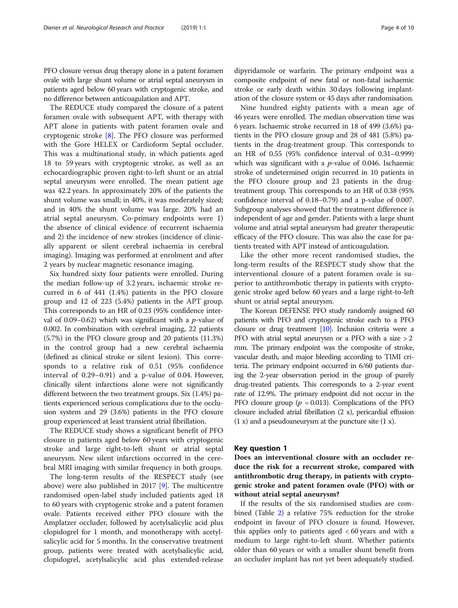PFO closure versus drug therapy alone in a patent foramen ovale with large shunt volume or atrial septal aneurysm in patients aged below 60 years with cryptogenic stroke, and no difference between anticoagulation and APT.

The REDUCE study compared the closure of a patent foramen ovale with subsequent APT, with therapy with APT alone in patients with patent foramen ovale and cryptogenic stroke [[8\]](#page-8-0). The PFO closure was performed with the Gore HELEX or Cardioform Septal occluder. This was a multinational study, in which patients aged 18 to 59 years with cryptogenic stroke, as well as an echocardiographic proven right-to-left shunt or an atrial septal aneurysm were enrolled. The mean patient age was 42.2 years. In approximately 20% of the patients the shunt volume was small; in 40%, it was moderately sized; and in 40% the shunt volume was large. 20% had an atrial septal aneurysm. Co-primary endpoints were 1) the absence of clinical evidence of recurrent ischaemia and 2) the incidence of new strokes (incidence of clinically apparent or silent cerebral ischaemia in cerebral imaging). Imaging was performed at enrolment and after 2 years by nuclear magnetic resonance imaging.

Six hundred sixty four patients were enrolled. During the median follow-up of 3.2 years, ischaemic stroke recurred in 6 of 441 (1.4%) patients in the PFO closure group and 12 of 223 (5.4%) patients in the APT group. This corresponds to an HR of 0.23 (95% confidence interval of 0.09–0.62) which was significant with a  $p$ -value of 0.002. In combination with cerebral imaging, 22 patients (5.7%) in the PFO closure group and 20 patients (11.3%) in the control group had a new cerebral ischaemia (defined as clinical stroke or silent lesion). This corresponds to a relative risk of 0.51 (95% confidence interval of 0.29–0.91) and a p-value of 0.04. However, clinically silent infarctions alone were not significantly different between the two treatment groups. Six (1.4%) patients experienced serious complications due to the occlusion system and 29 (3.6%) patients in the PFO closure group experienced at least transient atrial fibrillation.

The REDUCE study shows a significant benefit of PFO closure in patients aged below 60 years with cryptogenic stroke and large right-to-left shunt or atrial septal aneurysm. New silent infarctions occurred in the cerebral MRI imaging with similar frequency in both groups.

The long-term results of the RESPECT study (see above) were also published in 2017 [[9\]](#page-8-0). The multicentre randomised open-label study included patients aged 18 to 60 years with cryptogenic stroke and a patent foramen ovale. Patients received either PFO closure with the Amplatzer occluder, followed by acetylsalicylic acid plus clopidogrel for 1 month, and monotherapy with acetylsalicylic acid for 5 months. In the conservative treatment group, patients were treated with acetylsalicylic acid, clopidogrel, acetylsalicylic acid plus extended-release

dipyridamole or warfarin. The primary endpoint was a composite endpoint of new fatal or non-fatal ischaemic stroke or early death within 30 days following implantation of the closure system or 45 days after randomisation.

Nine hundred eighty patients with a mean age of 46 years were enrolled. The median observation time was 6 years. Ischaemic stroke recurred in 18 of 499 (3.6%) patients in the PFO closure group and 28 of 481 (5.8%) patients in the drug-treatment group. This corresponds to an HR of 0.55 (95% confidence interval of 0.31–0.999) which was significant with a  $p$ -value of 0.046. Ischaemic stroke of undetermined origin recurred in 10 patients in the PFO closure group and 23 patients in the drugtreatment group. This corresponds to an HR of 0.38 (95% confidence interval of 0.18–0.79) and a p-value of 0.007. Subgroup analyses showed that the treatment difference is independent of age and gender. Patients with a large shunt volume and atrial septal aneurysm had greater therapeutic efficacy of the PFO closure. This was also the case for patients treated with APT instead of anticoagulation.

Like the other more recent randomised studies, the long-term results of the RESPECT study show that the interventional closure of a patent foramen ovale is superior to antithrombotic therapy in patients with cryptogenic stroke aged below 60 years and a large right-to-left shunt or atrial septal aneurysm.

The Korean DEFENSE PFO study randomly assigned 60 patients with PFO and cryptogenic stroke each to a PFO closure or drug treatment [\[10\]](#page-9-0). Inclusion criteria were a PFO with atrial septal aneurysm or a PFO with a size > 2 mm. The primary endpoint was the composite of stroke, vascular death, and major bleeding according to TIMI criteria. The primary endpoint occurred in 6/60 patients during the 2-year observation period in the group of purely drug-treated patients. This corresponds to a 2-year event rate of 12.9%. The primary endpoint did not occur in the PFO closure group ( $p = 0.013$ ). Complications of the PFO closure included atrial fibrillation (2 x), pericardial effusion  $(1 x)$  and a pseudoaneurysm at the puncture site  $(1 x)$ .

#### Key question 1

Does an interventional closure with an occluder reduce the risk for a recurrent stroke, compared with antithrombotic drug therapy, in patients with cryptogenic stroke and patent foramen ovale (PFO) with or without atrial septal aneurysm?

If the results of the six randomised studies are combined (Table [2](#page-4-0)) a relative 75% reduction for the stroke endpoint in favour of PFO closure is found. However, this applies only to patients aged < 60 years and with a medium to large right-to-left shunt. Whether patients older than 60 years or with a smaller shunt benefit from an occluder implant has not yet been adequately studied.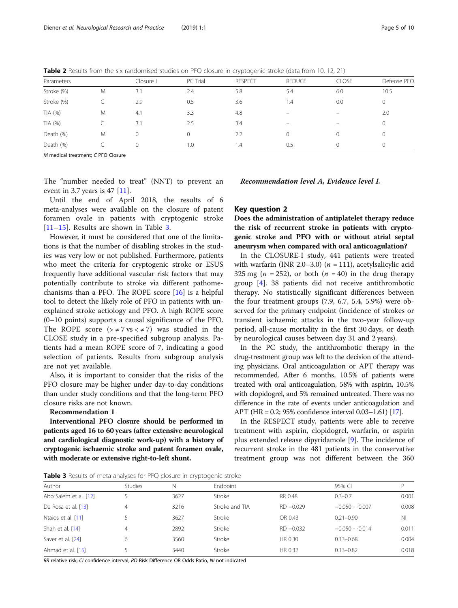<span id="page-4-0"></span>Table 2 Results from the six randomised studies on PFO closure in cryptogenic stroke (data from 10, 12, 21)

| Parameters |   | Closure I | PC Trial | <b>RESPECT</b> | <b>REDUCE</b>            | <b>CLOSE</b>             | Defense PFO |  |
|------------|---|-----------|----------|----------------|--------------------------|--------------------------|-------------|--|
| Stroke (%) | M | 3.1       | 2.4      | 5.8            | 5.4                      | 6.0                      | 10.5        |  |
| Stroke (%) |   | 2.9       | 0.5      | 3.6            | 1.4                      | 0.0                      | 0           |  |
| TIA(%)     | M | 4.1       | 3.3      | 4.8            | $\overline{\phantom{0}}$ | $\overline{\phantom{0}}$ | 2.0         |  |
| TIA (%)    |   | 3.1       | 2.5      | 3.4            | -                        | -                        | 0           |  |
| Death (%)  | M | $\Omega$  |          | 2.2            | $\Omega$                 | 0                        |             |  |
| Death (%)  |   | $\Omega$  | 1.0      | 1.4            | 0.5                      | 0                        | 0           |  |

M medical treatment; C PFO Closure

The "number needed to treat" (NNT) to prevent an event in 3.7 years is 47  $[11]$  $[11]$ .

Until the end of April 2018, the results of 6 meta-analyses were available on the closure of patent foramen ovale in patients with cryptogenic stroke [[11](#page-9-0)–[15\]](#page-9-0). Results are shown in Table 3.

However, it must be considered that one of the limitations is that the number of disabling strokes in the studies was very low or not published. Furthermore, patients who meet the criteria for cryptogenic stroke or ESUS frequently have additional vascular risk factors that may potentially contribute to stroke via different pathomechanisms than a PFO. The ROPE score  $[16]$  $[16]$  is a helpful tool to detect the likely role of PFO in patients with unexplained stroke aetiology and PFO. A high ROPE score (0–10 points) supports a causal significance of the PFO. The ROPE score  $(>\neq 7 \text{ vs } < \neq 7)$  was studied in the CLOSE study in a pre-specified subgroup analysis. Patients had a mean ROPE score of 7, indicating a good selection of patients. Results from subgroup analysis are not yet available.

Also, it is important to consider that the risks of the PFO closure may be higher under day-to-day conditions than under study conditions and that the long-term PFO closure risks are not known.

#### Recommendation 1

Interventional PFO closure should be performed in patients aged 16 to 60 years (after extensive neurological and cardiological diagnostic work-up) with a history of cryptogenic ischaemic stroke and patent foramen ovale, with moderate or extensive right-to-left shunt.

Recommendation level A, Evidence level I.

#### Key question 2

Does the administration of antiplatelet therapy reduce the risk of recurrent stroke in patients with cryptogenic stroke and PFO with or without atrial septal aneurysm when compared with oral anticoagulation?

In the CLOSURE-I study, 441 patients were treated with warfarin (INR 2.0–3.0) ( $n = 111$ ), acetylsalicylic acid 325 mg ( $n = 252$ ), or both ( $n = 40$ ) in the drug therapy group [\[4](#page-8-0)]. 38 patients did not receive antithrombotic therapy. No statistically significant differences between the four treatment groups (7.9, 6.7, 5.4, 5.9%) were observed for the primary endpoint (incidence of strokes or transient ischaemic attacks in the two-year follow-up period, all-cause mortality in the first 30 days, or death by neurological causes between day 31 and 2 years).

In the PC study, the antithrombotic therapy in the drug-treatment group was left to the decision of the attending physicians. Oral anticoagulation or APT therapy was recommended. After 6 months, 10.5% of patients were treated with oral anticoagulation, 58% with aspirin, 10.5% with clopidogrel, and 5% remained untreated. There was no difference in the rate of events under anticoagulation and APT (HR = 0.2; 95% confidence interval 0.03–1.61) [\[17](#page-9-0)].

In the RESPECT study, patients were able to receive treatment with aspirin, clopidogrel, warfarin, or aspirin plus extended release dipyridamole [[9\]](#page-8-0). The incidence of recurrent stroke in the 481 patients in the conservative treatment group was not different between the 360

**Table 3** Results of meta-analyses for PFO closure in cryptogenic stroke

| Author                | <b>Studies</b> | N    | Endpoint       |              | 95% CI           | D              |
|-----------------------|----------------|------|----------------|--------------|------------------|----------------|
| Abo Salem et al. [12] |                | 3627 | Stroke         | RR 0.48      | $0.3 - 0.7$      | 0.001          |
| De Rosa et al. [13]   | 4              | 3216 | Stroke and TIA | $RD - 0.029$ | $-0.050 - 0.007$ | 0.008          |
| Ntaios et al. [11]    |                | 3627 | Stroke         | OR 0.43      | $0.21 - 0.90$    | N <sub>1</sub> |
| Shah et al. [14]      | 4              | 2892 | Stroke         | $RD - 0.032$ | $-0.050 - 0.014$ | 0.011          |
| Saver et al. [24]     | 6              | 3560 | Stroke         | HR 0.30      | $0.13 - 0.68$    | 0.004          |
| Ahmad et al. [15]     |                | 3440 | Stroke         | HR 0.32      | $0.13 - 0.82$    | 0.018          |

RR relative risk; CI confidence interval, RD Risk Difference OR Odds Ratio, NI not indicated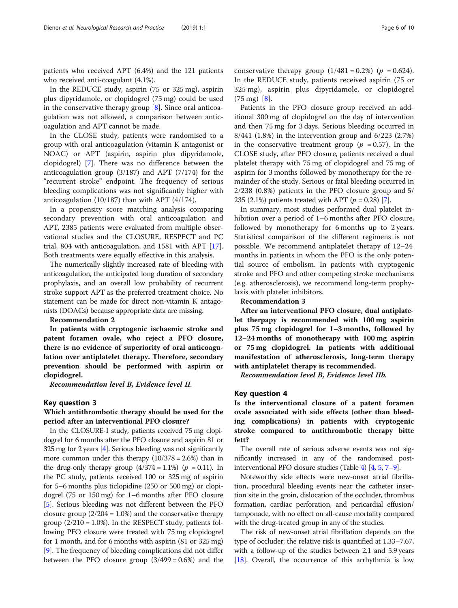patients who received APT (6.4%) and the 121 patients who received anti-coagulant (4.1%).

In the REDUCE study, aspirin (75 or 325 mg), aspirin plus dipyridamole, or clopidogrel (75 mg) could be used in the conservative therapy group [[8\]](#page-8-0). Since oral anticoagulation was not allowed, a comparison between anticoagulation and APT cannot be made.

In the CLOSE study, patients were randomised to a group with oral anticoagulation (vitamin K antagonist or NOAC) or APT (aspirin, aspirin plus dipyridamole, clopidogrel) [[7](#page-8-0)]. There was no difference between the anticoagulation group (3/187) and APT (7/174) for the "recurrent stroke" endpoint. The frequency of serious bleeding complications was not significantly higher with anticoagulation (10/187) than with APT (4/174).

In a propensity score matching analysis comparing secondary prevention with oral anticoagulation and APT, 2385 patients were evaluated from multiple observational studies and the CLOSURE, RESPECT and PC trial, 804 with anticoagulation, and 1581 with APT [\[17](#page-9-0)]. Both treatments were equally effective in this analysis.

The numerically slightly increased rate of bleeding with anticoagulation, the anticipated long duration of secondary prophylaxis, and an overall low probability of recurrent stroke support APT as the preferred treatment choice. No statement can be made for direct non-vitamin K antagonists (DOACs) because appropriate data are missing.

#### Recommendation 2

In patients with cryptogenic ischaemic stroke and patent foramen ovale, who reject a PFO closure, there is no evidence of superiority of oral anticoagulation over antiplatelet therapy. Therefore, secondary prevention should be performed with aspirin or clopidogrel.

Recommendation level B, Evidence level II.

#### Key question 3

## Which antithrombotic therapy should be used for the period after an interventional PFO closure?

In the CLOSURE-I study, patients received 75 mg clopidogrel for 6 months after the PFO closure and aspirin 81 or 325 mg for 2 years [\[4\]](#page-8-0). Serious bleeding was not significantly more common under this therapy (10/378 = 2.6%) than in the drug-only therapy group  $(4/374 = 1.1\%)$  ( $p = 0.11$ ). In the PC study, patients received 100 or 325 mg of aspirin for 5–6 months plus ticlopidine (250 or 500 mg) or clopidogrel (75 or 150 mg) for 1–6 months after PFO closure [[5\]](#page-8-0). Serious bleeding was not different between the PFO closure group  $(2/204 = 1.0\%)$  and the conservative therapy group  $(2/210 = 1.0\%)$ . In the RESPECT study, patients following PFO closure were treated with 75 mg clopidogrel for 1 month, and for 6 months with aspirin (81 or 325 mg) [[9\]](#page-8-0). The frequency of bleeding complications did not differ between the PFO closure group  $(3/499 = 0.6%)$  and the conservative therapy group  $(1/481 = 0.2\%)$  ( $p = 0.624$ ). In the REDUCE study, patients received aspirin (75 or 325 mg), aspirin plus dipyridamole, or clopidogrel  $(75 \text{ mg})$  [[8\]](#page-8-0).

Patients in the PFO closure group received an additional 300 mg of clopidogrel on the day of intervention and then 75 mg for 3 days. Serious bleeding occurred in 8/441 (1.8%) in the intervention group and 6/223 (2.7%) in the conservative treatment group ( $p = 0.57$ ). In the CLOSE study, after PFO closure, patients received a dual platelet therapy with 75 mg of clopidogrel and 75 mg of aspirin for 3 months followed by monotherapy for the remainder of the study. Serious or fatal bleeding occurred in 2/238 (0.8%) patients in the PFO closure group and 5/ 235 (2.1%) patients treated with APT ( $p = 0.28$ ) [\[7\]](#page-8-0).

In summary, most studies performed dual platelet inhibition over a period of 1–6 months after PFO closure, followed by monotherapy for 6 months up to 2 years. Statistical comparison of the different regimens is not possible. We recommend antiplatelet therapy of 12–24 months in patients in whom the PFO is the only potential source of embolism. In patients with cryptogenic stroke and PFO and other competing stroke mechanisms (e.g. atherosclerosis), we recommend long-term prophylaxis with platelet inhibitors.

Recommendation 3

After an interventional PFO closure, dual antiplatelet therpapy is recommended with 100 mg aspirin plus 75 mg clopidogrel for 1–3 months, followed by 12–24 months of monotherapy with 100 mg aspirin or 75 mg clopidogrel. In patients with additional manifestation of atherosclerosis, long-term therapy with antiplatelet therapy is recommended.

Recommendation level B, Evidence level IIb.

#### Key question 4

Is the interventional closure of a patent foramen ovale associated with side effects (other than bleeding complications) in patients with cryptogenic stroke compared to antithrombotic therapy bitte fett?

The overall rate of serious adverse events was not significantly increased in any of the randomised postinterventional PFO closure studies (Table [4\)](#page-6-0) [\[4](#page-8-0), [5,](#page-8-0) [7](#page-8-0)–[9](#page-8-0)].

Noteworthy side effects were new-onset atrial fibrillation, procedural bleeding events near the catheter insertion site in the groin, dislocation of the occluder, thrombus formation, cardiac perforation, and pericardial effusion/ tamponade, with no effect on all-cause mortality compared with the drug-treated group in any of the studies.

The risk of new-onset atrial fibrillation depends on the type of occluder; the relative risk is quantified at 1.33–7.67, with a follow-up of the studies between 2.1 and 5.9 years [[18](#page-9-0)]. Overall, the occurrence of this arrhythmia is low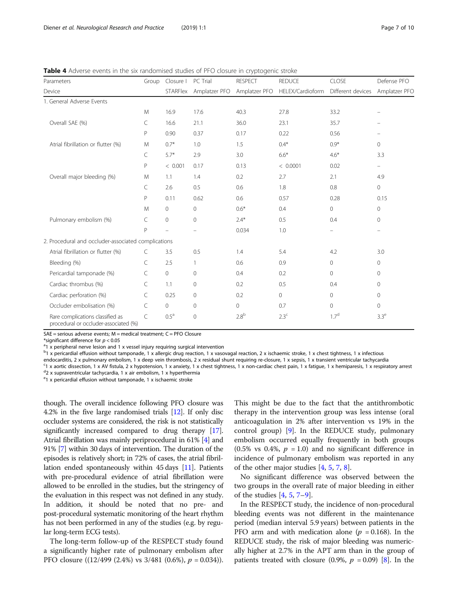<span id="page-6-0"></span>Table 4 Adverse events in the six randomised studies of PFO closure in cryptogenic stroke

| Parameters                                                                | Group     | Closure I        | PC Trial       | <b>RESPECT</b>   | <b>REDUCE</b>    | CLOSE               | Defense PFO              |
|---------------------------------------------------------------------------|-----------|------------------|----------------|------------------|------------------|---------------------|--------------------------|
| Device                                                                    |           | <b>STARFlex</b>  | Amplatzer PFO  | Amplatzer PFO    | HELEX/Cardioform | Different devices   | Amplatzer PFC            |
| 1. General Adverse Events                                                 |           |                  |                |                  |                  |                     |                          |
|                                                                           | M         | 16.9             | 17.6           | 40.3             | 27.8             | 33.2                |                          |
| Overall SAE (%)                                                           | C         | 16.6             | 21.1           | 36.0             | 23.1             | 35.7                |                          |
|                                                                           | P         | 0.90             | 0.37           | 0.17             | 0.22             | 0.56                |                          |
| Atrial fibrillation or flutter (%)                                        | M         | $0.7*$           | 1.0            | 1.5              | $0.4*$           | $0.9*$              | $\Omega$                 |
|                                                                           | C         | $5.7*$           | 2.9            | 3.0              | $6.6*$           | $4.6*$              | 3.3                      |
|                                                                           | P         | < 0.001          | 0.17           | 0.13             | < 0.0001         | 0.02                | $\overline{\phantom{0}}$ |
| Overall major bleeding (%)                                                | M         | 1.1              | 1.4            | 0.2              | 2.7              | 2.1                 | 4.9                      |
|                                                                           | C         | 2.6              | 0.5            | 0.6              | 1.8              | 0.8                 | $\mathbf{0}$             |
|                                                                           | P         | 0.11             | 0.62           | 0.6              | 0.57             | 0.28                | 0.15                     |
|                                                                           | M         | $\Omega$         | $\Omega$       | $0.6*$           | 0.4              | $\mathbf{0}$        | $\circ$                  |
| Pulmonary embolism (%)                                                    | C         | 0                | $\overline{0}$ | $2.4*$           | 0.5              | 0.4                 | $\circ$                  |
|                                                                           | P         |                  |                | 0.034            | 1.0              |                     |                          |
| 2. Procedural and occluder-associated complications                       |           |                  |                |                  |                  |                     |                          |
| Atrial fibrillation or flutter (%)                                        | C         | 3.5              | 0.5            | 1.4              | 5.4              | 4.2                 | 3.0                      |
| Bleeding (%)                                                              | $\subset$ | 2.5              | 1              | 0.6              | 0.9              | $\mathbf 0$         | $\circ$                  |
| Pericardial tamponade (%)                                                 | C         | 0                | $\mathbf{0}$   | 0.4              | 0.2              | $\mathbf{0}$        | $\circ$                  |
| Cardiac thrombus (%)                                                      | C         | 1.1              | $\mathbf{0}$   | 0.2              | 0.5              | 0.4                 | $\circ$                  |
| Cardiac perforation (%)                                                   | C         | 0.25             | $\mathbf{0}$   | 0.2              | $\circ$          | $\mathbf{0}$        | $\circ$                  |
| Occluder embolisation (%)                                                 | C         | 0                | $\circ$        | 0                | 0.7              | $\mathsf{O}\xspace$ | $\circ$                  |
| Rare complications classified as<br>procedural or occluder-associated (%) | C         | 0.5 <sup>a</sup> | $\mathbf{0}$   | 2.8 <sup>b</sup> | 2.3 <sup>c</sup> | 1.7 <sup>d</sup>    | 3.3 <sup>e</sup>         |

SAE = serious adverse events; M = medical treatment; C = PFO Closure

\*significant difference for  $p < 0.05$ 

 $1 \times 1$  x peripheral nerve lesion and 1 x vessel injury requiring surgical intervention

 $b<sup>b</sup>$ 1 x pericardial effusion without tamponade, 1 x allergic drug reaction, 1 x vasovagal reaction, 2 x ischaemic stroke, 1 x chest tightness, 1 x infectious

endocarditis, 2 x pulmonary embolism, 1 x deep vein thrombosis, 2 x residual shunt requiring re-closure, 1 x sepsis, 1 x transient ventricular tachycardia

<sup>c</sup>1 x aortic dissection, 1 x AV fistula, 2 x hypotension, 1 x anxiety, 1 x chest tightness, 1 x non-cardiac chest pain, 1 x fatigue, 1 x hemiparesis, 1 x respiratory arrest <sup>d</sup>2 x supraventricular tachycardia, 1 x air embolism, 1 x hyperthermia

<sup>e</sup>1 x pericardial effusion without tamponade, 1 x ischaemic stroke

though. The overall incidence following PFO closure was 4.2% in the five large randomised trials [\[12\]](#page-9-0). If only disc occluder systems are considered, the risk is not statistically significantly increased compared to drug therapy [[17](#page-9-0)]. Atrial fibrillation was mainly periprocedural in 61% [\[4](#page-8-0)] and 91% [[7\]](#page-8-0) within 30 days of intervention. The duration of the episodes is relatively short; in 72% of cases, the atrial fibrillation ended spontaneously within 45 days [[11](#page-9-0)]. Patients with pre-procedural evidence of atrial fibrillation were allowed to be enrolled in the studies, but the stringency of the evaluation in this respect was not defined in any study. In addition, it should be noted that no pre- and post-procedural systematic monitoring of the heart rhythm has not been performed in any of the studies (e.g. by regular long-term ECG tests).

The long-term follow-up of the RESPECT study found a significantly higher rate of pulmonary embolism after PFO closure ((12/499 (2.4%) vs  $3/481$  (0.6%),  $p = 0.034$ )). This might be due to the fact that the antithrombotic therapy in the intervention group was less intense (oral anticoagulation in 2% after intervention vs 19% in the control group) [[9\]](#page-8-0). In the REDUCE study, pulmonary embolism occurred equally frequently in both groups  $(0.5\% \text{ vs } 0.4\%, p = 1.0)$  and no significant difference in incidence of pulmonary embolism was reported in any of the other major studies [\[4](#page-8-0), [5](#page-8-0), [7](#page-8-0), [8](#page-8-0)].

No significant difference was observed between the two groups in the overall rate of major bleeding in either of the studies [[4,](#page-8-0) [5,](#page-8-0) [7](#page-8-0)–[9\]](#page-8-0).

In the RESPECT study, the incidence of non-procedural bleeding events was not different in the maintenance period (median interval 5.9 years) between patients in the PFO arm and with medication alone ( $p = 0.168$ ). In the REDUCE study, the risk of major bleeding was numerically higher at 2.7% in the APT arm than in the group of patients treated with closure (0.9%,  $p = 0.09$ ) [[8\]](#page-8-0). In the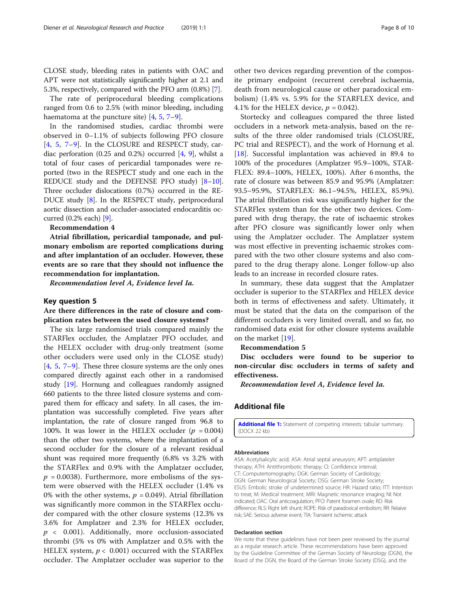<span id="page-7-0"></span>CLOSE study, bleeding rates in patients with OAC and APT were not statistically significantly higher at 2.1 and 5.3%, respectively, compared with the PFO arm (0.8%) [[7](#page-8-0)].

The rate of periprocedural bleeding complications ranged from 0.6 to 2.5% (with minor bleeding, including haematoma at the puncture site) [[4](#page-8-0), [5](#page-8-0), [7](#page-8-0)–[9](#page-8-0)].

In the randomised studies, cardiac thrombi were observed in 0–1.1% of subjects following PFO closure [[4,](#page-8-0) [5](#page-8-0), [7](#page-8-0)–[9](#page-8-0)]. In the CLOSURE and RESPECT study, cardiac perforation (0.25 and 0.2%) occurred  $[4, 9]$  $[4, 9]$  $[4, 9]$ , whilst a total of four cases of pericardial tamponades were reported (two in the RESPECT study and one each in the REDUCE study and the DEFENSE PFO study) [\[8](#page-8-0)–[10](#page-9-0)]. Three occluder dislocations (0.7%) occurred in the RE-DUCE study [\[8\]](#page-8-0). In the RESPECT study, periprocedural aortic dissection and occluder-associated endocarditis occurred (0.2% each) [[9](#page-8-0)].

### Recommendation 4

Atrial fibrillation, pericardial tamponade, and pulmonary embolism are reported complications during and after implantation of an occluder. However, these events are so rare that they should not influence the recommendation for implantation.

Recommendation level A, Evidence level Ia.

### Key question 5

# Are there differences in the rate of closure and complication rates between the used closure systems?

The six large randomised trials compared mainly the STARFlex occluder, the Amplatzer PFO occluder, and the HELEX occluder with drug-only treatment (some other occluders were used only in the CLOSE study)  $[4, 5, 7-9]$  $[4, 5, 7-9]$  $[4, 5, 7-9]$  $[4, 5, 7-9]$  $[4, 5, 7-9]$  $[4, 5, 7-9]$  $[4, 5, 7-9]$  $[4, 5, 7-9]$  $[4, 5, 7-9]$ . These three closure systems are the only ones compared directly against each other in a randomised study [\[19\]](#page-9-0). Hornung and colleagues randomly assigned 660 patients to the three listed closure systems and compared them for efficacy and safety. In all cases, the implantation was successfully completed. Five years after implantation, the rate of closure ranged from 96.8 to 100%. It was lower in the HELEX occluder  $(p = 0.004)$ than the other two systems, where the implantation of a second occluder for the closure of a relevant residual shunt was required more frequently (6.8% vs 3.2% with the STARFlex and 0.9% with the Amplatzer occluder,  $p = 0.0038$ ). Furthermore, more embolisms of the system were observed with the HELEX occluder (1.4% vs 0% with the other systems,  $p = 0.049$ ). Atrial fibrillation was significantly more common in the STARFlex occluder compared with the other closure systems (12.3% vs 3.6% for Amplatzer and 2.3% for HELEX occluder,  $p$  < 0.001). Additionally, more occlusion-associated thrombi (5% vs 0% with Amplatzer and 0.5% with the HELEX system,  $p < 0.001$ ) occurred with the STARFlex occluder. The Amplatzer occluder was superior to the

other two devices regarding prevention of the composite primary endpoint (recurrent cerebral ischaemia, death from neurological cause or other paradoxical embolism) (1.4% vs. 5.9% for the STARFLEX device, and 4.1% for the HELEX device,  $p = 0.042$ ).

Stortecky and colleagues compared the three listed occluders in a network meta-analysis, based on the results of the three older randomised trials (CLOSURE, PC trial and RESPECT), and the work of Hornung et al. [[18\]](#page-9-0). Successful implantation was achieved in 89.4 to 100% of the procedures (Amplatzer 95.9–100%, STAR-FLEX: 89.4–100%, HELEX, 100%). After 6 months, the rate of closure was between 85.9 and 95.9% (Amplatzer: 93.5–95.9%, STARFLEX: 86.1–94.5%, HELEX, 85.9%). The atrial fibrillation risk was significantly higher for the STARFlex system than for the other two devices. Compared with drug therapy, the rate of ischaemic strokes after PFO closure was significantly lower only when using the Amplatzer occluder. The Amplatzer system was most effective in preventing ischaemic strokes compared with the two other closure systems and also compared to the drug therapy alone. Longer follow-up also leads to an increase in recorded closure rates.

In summary, these data suggest that the Amplatzer occluder is superior to the STARFlex and HELEX device both in terms of effectiveness and safety. Ultimately, it must be stated that the data on the comparison of the different occluders is very limited overall, and so far, no randomised data exist for other closure systems available on the market [[19\]](#page-9-0).

#### Recommendation 5

Disc occluders were found to be superior to non-circular disc occluders in terms of safety and effectiveness.

Recommendation level A, Evidence level Ia.

### Additional file

[Additional file 1:](https://doi.org/10.1186/s42466-019-0008-2) Statement of competing interests: tabular summary. (DOCX 22 kb)

#### Abbreviations

ASA: Acetylsalicylic acid; ASA: Atrial septal aneurysm; APT: antiplatelet therapy; ATH: Antithrombotic therapy; CI: Confidence interval; CT: Computertomography; DGK: German Society of Cardiology; DGN: German Neurological Society; DSG: German Stroke Society; ESUS: Embolic stroke of undetermined source; HR: Hazard ratio; ITT: Intention to treat; M: Medical treatment; MRI: Magnetic resonance imaging; NI: Not indicated; OAC: Oral anticoagulation; PFO: Patent foramen ovale; RD: Risk difference; RLS: Right left shunt; ROPE: Risk of paradoxical embolism; RR: Relaive risk; SAE: Serious adverse event; TIA: Transient ischemic attack

#### Declaration section

We note that these guidelines have not been peer reviewed by the journal as a regular research article. These recommendations have been approved by the Guideline Committee of the German Society of Neurology (DGN), the Board of the DGN, the Board of the German Stroke Society (DSG), and the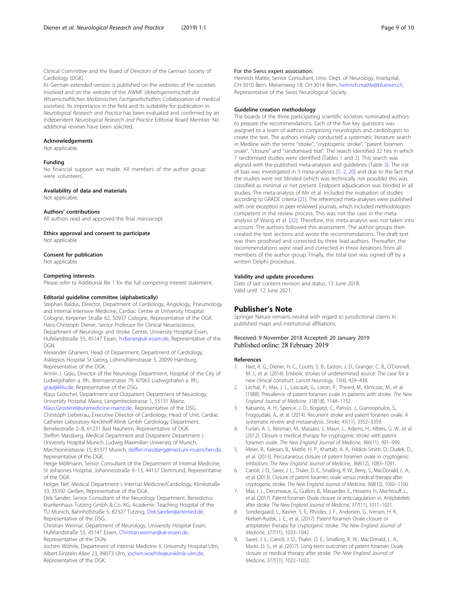<span id="page-8-0"></span>Clinical Committee and the Board of Directors of the German Society of Cardiology (DGK).

Its German extended version is published on the websites of the societies involved and on the website of the AWMF (Arbeitsgemeinschaft der Wissenschaftlichen Medizinischen Fachgesellschaften; Collaboration of medical societies). Its importance in the field and its suitability for publication in Neurological Research and Practice has been evaluated and confirmed by an independent Neurological Research and Practice Editorial Board Member. No additional reviews have been solicited.

#### Acknowledgements

Not applicable.

#### Funding

No financial support was made. All members of the author group were volunteers.

#### Availability of data and materials

Not applicable.

#### Authors' contributions

All authors read and approved the final manuscript.

Ethics approval and consent to participate

Not applicable

#### Consent for publication

Not applicable

#### Competing interests

Please refer to Additional file [1](#page-7-0) for the full competing interest statement.

#### Editorial guideline committee (alphabetically)

Stephan Baldus, Director, Department of Cardiology, Angiology, Pneumology and Internal Intensive Medicine, Cardiac Centre at University Hospital Cologne, Kerpener Straße 62, 50937 Cologne, Representative of the DGK. Hans-Christoph Diener, Senior Professor for Clinical Neuroscience, Department of Neurology and Stroke Centre, University Hospital Essen, Hufelandstraße 55, 45147 Essen, [h.diener@uk-essen.de](mailto:h.diener@uk-essen.de), Representative of the **DGN.** 

Alexander Ghanem, Head of Department, Department of Cardiology, Asklepios Hospital St Georg, Lohmuhlenstrasse 5, 20099 Hamburg, Representative of the DGK.

Armin J. Grau, Director of the Neurology Department, Hospital of the City of Ludwigshafen a. Rh., Bremserstrasse 79, 67063 Ludwigshafen a. Rh., [gray@klilu.de,](mailto:gray@klilu.de) Representative of the DSG.

Klaus Gröschel, Department and Outpatient Department of Neurology, University Hospital Mainz, Langenbeckstrasse 1, 55131 Mainz,

[Klaus.Grosterel@unimedicine-mainz.de,](mailto:Klaus.Grosterel@unimedicine-mainz.de) Representative of the DSG. Christoph Liebetrau, Executive Director of Cardiology, Head of Unit, Cardiac Catheter Laboratory Kerckhoff-Klinik Gmbh Cardiology Department,

Benekestraße 2–8, 61231 Bad Nauheim, Representative of DGK. Steffen Massberg, Medical Department and Outpatient Department I, University Hospital Munich, Ludwig Maximilian University of Munich,

Marchioninistrasse 15, 81377 Munich, [steffen.massberg@med.uni-muenchen.de](mailto:steffen.massberg@med.uni-muenchen.de), Representative of the DGK.

Helge Möllmann, Senior Consultant of the Department of Internal Medicine, St Johannes Hospital, Johannesstraße 9–13, 44137 Dortmund, Representative of the DGK.

Holger Nef, Medical Department I, Internal Medicine/Cardiology, Klinikstraße 33, 35392 Gießen, Representative of the DGK.

Dirk Sander, Senior Consultant of the Neurology Department, Benedictus Krankenhaus Tutzing Gmbh & Co. KG, Academic Teaching Hospital of the TU Munich, Bahnhofstraße 5, 82327 Tutzing, [Dirk.Sander@artemed.de](mailto:Dirk.Sander@artemed.de), Representative of the DSG.

Christian Weimar, Department of Neurology, University Hospital Essen, Hufelandstraße 55, 45147 Essen, [Christian.weimar@uk-essen.de](mailto:Christian.weimar@uk-essen.de), Representative of the DGN.

Jochen Wöhrle, Department of Internal Medicine II, University Hospital Ulm, Albert-Einstein-Allee 23, 89073 Ulm, [jochen.woehrle@uniklinik-ulm.de](mailto:jochen.woehrle@uniklinik-ulm.de), Representative of the DGK.

#### For the Swiss expert association:

Heinrich Mattle, Senior Consultant, Univ. Dept. of Neurology, Inselspital, CH-3010 Bern, Meisenweg 18, CH-3014 Bern, [heinrich.mattle@bluewin.ch](mailto:heinrich.mattle@bluewin.ch), Representative of the Swiss Neurological Society.

#### Guideline creation methodology

The boards of the three participating scientific societies nominated authors to prepare the recommendations. Each of the five key questions was assigned to a team of authors comprising neurologists and cardiologists to create the text. The authors initially conducted a systematic literature search in Medline with the terms "stroke", "cryptogenic stroke", "patent foramen ovale", "closure" and "randomised trial". The search identified 32 hits in which 7 randomised studies were identified (Tables [1](#page-2-0) and [2](#page-4-0)). This search was aligned with the published meta-analyses and guidelines (Table [3](#page-4-0)). The risk of bias was investigated in 3 meta-analyses [1, 2, [20\]](#page-9-0) and due to the fact that the studies were not blinded (which was technically not possible) this was classified as minimal or not present. Endpoint adjudication was blinded in all studies. The meta-analysis of Mir et al. included the evaluation of studies according to GRADE criteria [[21\]](#page-9-0). The referenced meta-analyses were published with one exception in peer-reviewed journals, which included methodologists competent in the review process. This was not the case in the metaanalysis of Wang et al. [[22](#page-9-0)]. Therefore, this meta-analysis was not taken into account. The authors followed this assessment. The author groups then created the text sections and wrote the recommendations. The draft text was then proofread and corrected by three lead authors. Thereafter, the recommendations were read and corrected in three iterations from all members of the author group. Finally, the total text was signed off by a written Delphi procedure.

#### Validity and update procedures

Date of last content revision and status: 13 June 2018. Valid until: 12 June 2021.

### Publisher's Note

Springer Nature remains neutral with regard to jurisdictional claims in published maps and institutional affiliations.

#### Received: 9 November 2018 Accepted: 20 January 2019 Published online: 28 February 2019

#### References

- 1. Hart, R. G., Diener, H. C., Coutts, S. B., Easton, J. D., Granger, C. B., O'Donnell, M. J., et al. (2014). Embolic strokes of undetermined source: The case for a new clinical construct. Lancet Neurology, 13(4), 429–438.
- 2. Lechat, P., Mas, J. L., Lascault, G., Loron, P., Theard, M., Klimczac, M., et al. (1988). Prevalence of patent foramen ovale in patients with stroke. The New England Journal of Medicine, 318(18), 1148–1152.
- 3. Katsanos, A. H., Spence, J. D., Bogiatzi, C., Parissis, J., Giannopoulos, S., Frogoudaki, A., et al. (2014). Recurrent stroke and patent foramen ovale: A systematic review and metaanalysis. Stroke, 45(11), 3352–3359.
- 4. Furlan, A. J., Reisman, M., Massaro, J., Mauri, L., Adams, H., Albers, G. W., et al. (2012). Closure o medical therapy for cryptogenic stroke with patent foramen ovale. The New England Journal of Medicine, 366(11), 991–999.
- 5. Meier, B., Kalesan, B., Mattle, H. P., Khattab, A. A., Hildick-Smith, D., Dudek, D., et al. (2013). Percutaneous closure of patent foramen ovale in cryptogenic embolism. The New England Journal of Medicine, 368(12), 1083–1091.
- 6. Carroll, J. D., Saver, J. L., Thaler, D. E., Smalling, R. W., Berry, S., MacDonald, L. A., et al. (2013). Closure of patent foramen ovale versus medical therapy after cryptogenic stroke. The New England Journal of Medicine, 368(12), 1092–1100.
- 7. Mas, J. L., Derumeaux, G., Guillon, B., Massardier, E., Hosseini, H., Mechtouff, L., et al. (2017). Patent foramen Ovale closure or anticoagulation vs. Antiplatelets after stroke. The New England Journal of Medicine, 377(11), 1011–1021.
- 8. Sondergaard, L., Kasner, S. E., Rhodes, J. F., Andersen, G., Iversen, H. K., Nielsen-Kudsk, J. E., et al. (2017). Patent foramen Ovale closure or antiplatelet therapy for cryptogenic stroke. The New England Journal of Medicine, 377(11), 1033–1042.
- 9. Saver, J. L., Carroll, J. D., Thaler, D. E., Smalling, R. W., MacDonald, L. A., Marks, D. S., et al. (2017). Long-term outcomes of patent foramen Ovale closure or medical therapy after stroke. The New England Journal of Medicine, 377(11), 1022–1032.